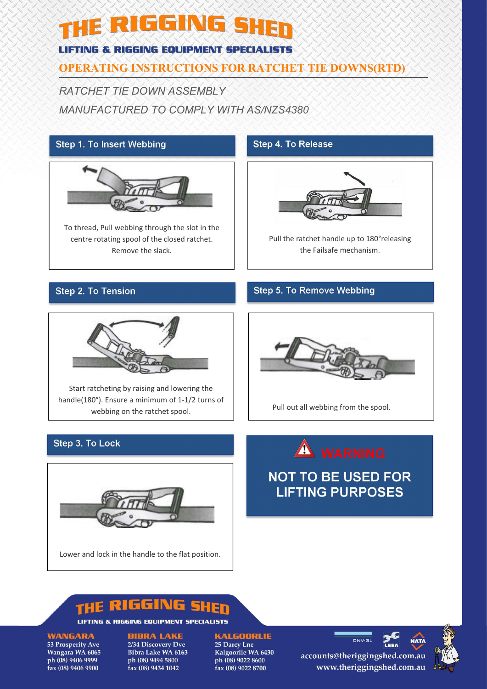# THE RIGGING SHEN

#### **LIFTING & RIGGING EQUIPMENT SPECIALISTS**

### **OPERATING INSTRUCTIONS FOR RATCHET TIE DOWNS(RTD)**

*RATCHET TIE DOWN ASSEMBLY MANUFACTURED TO COMPLY WITH AS/NZS4380*

#### **Step 1. To Insert Webbing**



To thread, Pull webbing through the slot in the centre rotating spool of the closed ratchet. Remove the slack.

#### **Step 4. To Release**



Pull the ratchet handle up to 180°releasing the Failsafe mechanism.

#### **Step 2. To Tension**

#### **Step 5. To Remove Webbing**



Start ratcheting by raising and lowering the handle(180°). Ensure a minimum of 1-1/2 turns of webbing on the ratchet spool.



Pull out all webbing from the spool.

#### Step 3. To Lock



## WARNING

**NOT TO BE USED FOR LIFTING PURPOSES** 

#### RIGGING E

LIFTING & RIGGING EQUIPMENT SPECIALISTS

**WANGARA** 

53 Prosperity Ave Wangara WA 6065 ph (08) 9406 9999 fax (08) 9406 9900

#### **BIBRA LAKE** 2/34 Discovery Dve

Bibra Lake WA 6163 ph (08) 9494 5800 fax (08) 9434 1042

#### **KALGOORLIE**

25 Darcy Lne Kalgoorlie WA 6430 ph (08) 9022 8600 fax (08) 9022 8700

accounts@theriggingshed.com.au www.theriggingshed.com.au

**DNV-GL**